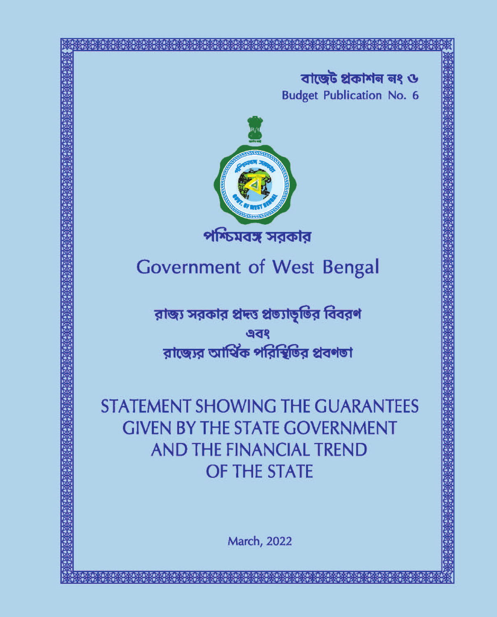## বাজেট প্ৰকাশন নং ও **Budget Publication No. 6**



# **Government of West Bengal**

রাজ্য সরকার প্রদত্ত প্রত্যাভূত্তির বিবরণ এবং রাজ্যের আর্থিক পরিস্থিতির প্রবণতা

**STATEMENT SHOWING THE GUARANTEES GIVEN BY THE STATE GOVERNMENT** AND THE FINANCIAL TREND OF THE STATE

**March, 2022**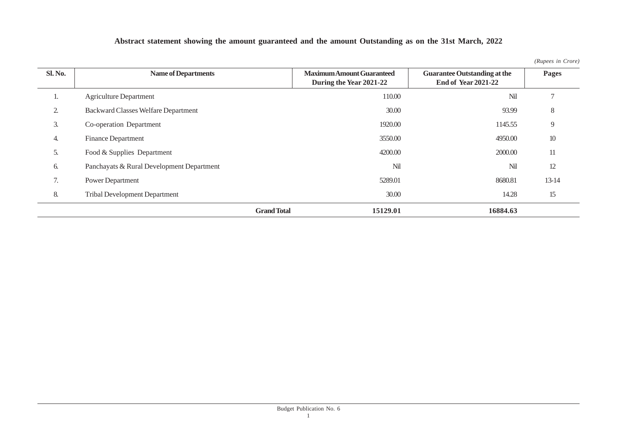#### **Abstract statement showing the amount guaranteed and the amount Outstanding as on the 31st March, 2022**

|                  |                                            |                    |                                                             |                                                                   | (Rupees in Crore) |
|------------------|--------------------------------------------|--------------------|-------------------------------------------------------------|-------------------------------------------------------------------|-------------------|
| Sl. No.          | <b>Name of Departments</b>                 |                    | <b>Maximum Amount Guaranteed</b><br>During the Year 2021-22 | <b>Guarantee Outstanding at the</b><br><b>End of Year 2021-22</b> | Pages             |
| 1.               | <b>Agriculture Department</b>              |                    | 110.00                                                      | Nil                                                               |                   |
| $\overline{2}$ . | <b>Backward Classes Welfare Department</b> |                    | 30.00                                                       | 93.99                                                             | 8                 |
| 3.               | Co-operation Department                    |                    | 1920.00                                                     | 1145.55                                                           | 9                 |
| 4.               | <b>Finance Department</b>                  |                    | 3550.00                                                     | 4950.00                                                           | 10                |
| 5.               | Food & Supplies Department                 |                    | 4200.00                                                     | 2000.00                                                           | 11                |
| 6.               | Panchayats & Rural Development Department  |                    | Nil                                                         | Nil                                                               | 12                |
| 7.               | Power Department                           |                    | 5289.01                                                     | 8680.81                                                           | $13 - 14$         |
| 8.               | <b>Tribal Development Department</b>       |                    | 30.00                                                       | 14.28                                                             | 15                |
|                  |                                            | <b>Grand Total</b> | 15129.01                                                    | 16884.63                                                          |                   |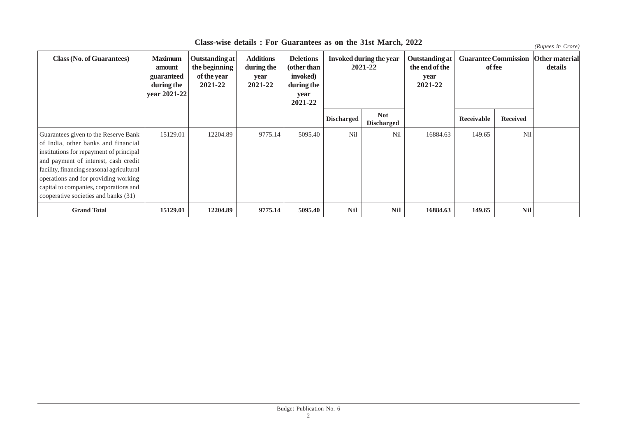**Class-wise details : For Guarantees as on the 31st March, 2022**

| (Rupees in Crore) |  |  |
|-------------------|--|--|
|-------------------|--|--|

| Class (No. of Guarantees)                                                                                                                                                                                                                                                                                                             | <b>Maximum</b><br>amount<br>guaranteed<br>during the<br>year 2021-22 | <b>Outstanding at</b><br>the beginning<br>of the year<br>2021-22 | <b>Additions</b><br>during the<br>year<br>2021-22 | <b>Deletions</b><br>(other than<br>invoked)<br>during the<br>year<br>2021-22 |                   | Invoked during the year<br>Outstanding at<br>2021-22<br>the end of the |          |            |                 |  |  | <b>Guarantee Commission</b><br>of fee |  | Other material<br>details |
|---------------------------------------------------------------------------------------------------------------------------------------------------------------------------------------------------------------------------------------------------------------------------------------------------------------------------------------|----------------------------------------------------------------------|------------------------------------------------------------------|---------------------------------------------------|------------------------------------------------------------------------------|-------------------|------------------------------------------------------------------------|----------|------------|-----------------|--|--|---------------------------------------|--|---------------------------|
|                                                                                                                                                                                                                                                                                                                                       |                                                                      |                                                                  |                                                   |                                                                              | <b>Discharged</b> | <b>Not</b><br><b>Discharged</b>                                        |          | Receivable | <b>Received</b> |  |  |                                       |  |                           |
| Guarantees given to the Reserve Bank<br>of India, other banks and financial<br>institutions for repayment of principal<br>and payment of interest, cash credit<br>facility, financing seasonal agricultural<br>operations and for providing working<br>capital to companies, corporations and<br>cooperative societies and banks (31) | 15129.01                                                             | 12204.89                                                         | 9775.14                                           | 5095.40                                                                      | Nil               | Nil                                                                    | 16884.63 | 149.65     | Nil             |  |  |                                       |  |                           |
| <b>Grand Total</b>                                                                                                                                                                                                                                                                                                                    | 15129.01                                                             | 12204.89                                                         | 9775.14                                           | 5095.40                                                                      | <b>Nil</b>        | <b>Nil</b>                                                             | 16884.63 | 149.65     | <b>Nil</b>      |  |  |                                       |  |                           |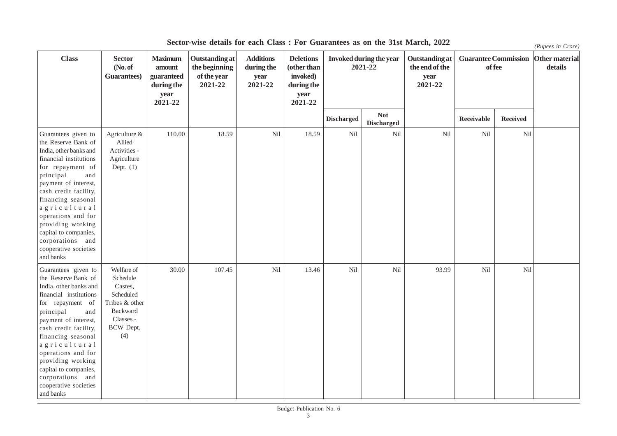**Sector-wise details for each Class : For Guarantees as on the 31st March, 2022**

| <b>Class</b>                                                                                                                                                                                                                                                                                                                                                | <b>Sector</b><br>No. of<br>Guarantees)                                                                               | <b>Maximum</b><br>amount<br>guaranteed<br>during the<br>year<br>2021-22 | <b>Outstanding at</b><br>the beginning<br>of the year<br>2021-22 | <b>Additions</b><br>during the<br>year<br>2021-22 | <b>Deletions</b><br>(other than<br>invoked)<br>during the<br>year<br>2021-22 |                   | Invoked during the year<br>2021-22 | Outstanding at<br>the end of the<br>year<br>2021-22 | of fee     | <b>Guarantee Commission</b> | Other material<br>details |
|-------------------------------------------------------------------------------------------------------------------------------------------------------------------------------------------------------------------------------------------------------------------------------------------------------------------------------------------------------------|----------------------------------------------------------------------------------------------------------------------|-------------------------------------------------------------------------|------------------------------------------------------------------|---------------------------------------------------|------------------------------------------------------------------------------|-------------------|------------------------------------|-----------------------------------------------------|------------|-----------------------------|---------------------------|
|                                                                                                                                                                                                                                                                                                                                                             |                                                                                                                      |                                                                         |                                                                  |                                                   |                                                                              | <b>Discharged</b> | <b>Not</b><br><b>Discharged</b>    |                                                     | Receivable | <b>Received</b>             |                           |
| Guarantees given to<br>the Reserve Bank of<br>India, other banks and<br>financial institutions<br>for repayment of<br>principal<br>and<br>payment of interest,<br>cash credit facility,<br>financing seasonal<br>agricultural<br>operations and for<br>providing working<br>capital to companies,<br>corporations and<br>cooperative societies<br>and banks | Agriculture &<br>Allied<br>Activities -<br>Agriculture<br>Dept. $(1)$                                                | 110.00                                                                  | 18.59                                                            | Nil                                               | 18.59                                                                        | Nil               | Nil                                | Nil                                                 | Nil        | Nil                         |                           |
| Guarantees given to<br>the Reserve Bank of<br>India, other banks and<br>financial institutions<br>for repayment of<br>principal<br>and<br>payment of interest,<br>cash credit facility,<br>financing seasonal<br>agricultural<br>operations and for<br>providing working<br>capital to companies,<br>corporations and<br>cooperative societies<br>and banks | Welfare of<br>Schedule<br>Castes,<br>Scheduled<br>Tribes & other<br>Backward<br>Classes -<br><b>BCW</b> Dept.<br>(4) | 30.00                                                                   | 107.45                                                           | Nil                                               | 13.46                                                                        | Nil               | Nil                                | 93.99                                               | Nil        | Nil                         |                           |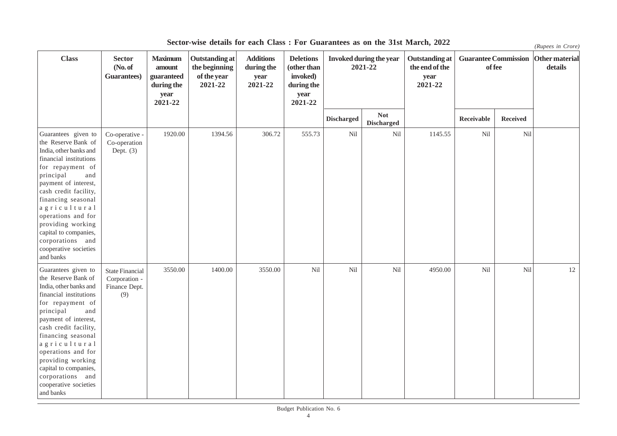**Sector-wise details for each Class : For Guarantees as on the 31st March, 2022**

| <b>Class</b>                                                                                                                                                                                                                                                                                                                                                | <b>Sector</b><br>No. of<br>Guarantees)                          | <b>Maximum</b><br>amount<br>guaranteed<br>during the<br>year<br>2021-22 | <b>Outstanding at</b><br>the beginning<br>of the year<br>2021-22 | <b>Additions</b><br>during the<br>year<br>2021-22 | <b>Deletions</b><br>(other than<br>invoked)<br>during the<br>year<br>2021-22 |                   | Invoked during the year<br>2021-22 | Outstanding at<br>the end of the<br>year<br>2021-22 | of fee     |                 | <b>Guarantee Commission</b> Other material<br>details |
|-------------------------------------------------------------------------------------------------------------------------------------------------------------------------------------------------------------------------------------------------------------------------------------------------------------------------------------------------------------|-----------------------------------------------------------------|-------------------------------------------------------------------------|------------------------------------------------------------------|---------------------------------------------------|------------------------------------------------------------------------------|-------------------|------------------------------------|-----------------------------------------------------|------------|-----------------|-------------------------------------------------------|
|                                                                                                                                                                                                                                                                                                                                                             |                                                                 |                                                                         |                                                                  |                                                   |                                                                              | <b>Discharged</b> | <b>Not</b><br><b>Discharged</b>    |                                                     | Receivable | <b>Received</b> |                                                       |
| Guarantees given to<br>the Reserve Bank of<br>India, other banks and<br>financial institutions<br>for repayment of<br>and<br>principal<br>payment of interest,<br>cash credit facility,<br>financing seasonal<br>agricultural<br>operations and for<br>providing working<br>capital to companies,<br>corporations and<br>cooperative societies<br>and banks | Co-operative -<br>Co-operation<br>Dept. $(3)$                   | 1920.00                                                                 | 1394.56                                                          | 306.72                                            | 555.73                                                                       | Nil               | Nil                                | 1145.55                                             | Nil        | Nil             |                                                       |
| Guarantees given to<br>the Reserve Bank of<br>India, other banks and<br>financial institutions<br>for repayment of<br>principal<br>and<br>payment of interest,<br>cash credit facility,<br>financing seasonal<br>agricultural<br>operations and for<br>providing working<br>capital to companies,<br>corporations and<br>cooperative societies<br>and banks | <b>State Financial</b><br>Corporation -<br>Finance Dept.<br>(9) | 3550.00                                                                 | 1400.00                                                          | 3550.00                                           | Nil                                                                          | Nil               | Nil                                | 4950.00                                             | Nil        | Nil             | 12                                                    |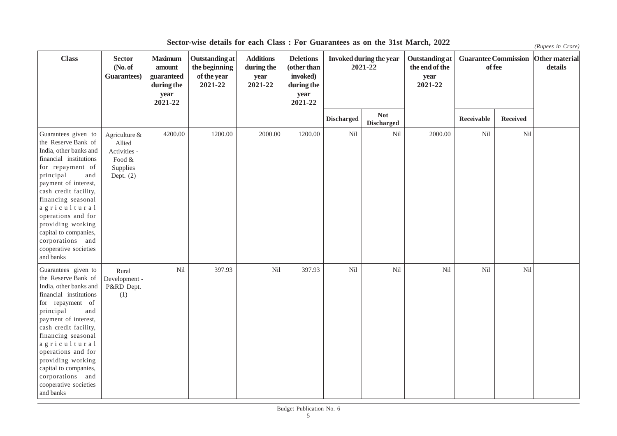**Sector-wise details for each Class : For Guarantees as on the 31st March, 2022**

| <b>Class</b>                                                                                                                                                                                                                                                                                                                                                | <b>Sector</b><br>(No. of<br><b>Guarantees</b> )                                | <b>Maximum</b><br>amount<br>guaranteed<br>during the<br>year<br>2021-22 | <b>Outstanding at</b><br>the beginning<br>of the year<br>2021-22 | <b>Additions</b><br>during the<br>year<br>2021-22 | <b>Deletions</b><br>(other than<br>invoked)<br>during the<br>year<br>2021-22 |                   | Invoked during the year<br>2021-22 | <b>Outstanding at</b><br>the end of the<br>year<br>2021-22 | of fee     |                 | <b>Guarantee Commission</b> Other material<br>details |
|-------------------------------------------------------------------------------------------------------------------------------------------------------------------------------------------------------------------------------------------------------------------------------------------------------------------------------------------------------------|--------------------------------------------------------------------------------|-------------------------------------------------------------------------|------------------------------------------------------------------|---------------------------------------------------|------------------------------------------------------------------------------|-------------------|------------------------------------|------------------------------------------------------------|------------|-----------------|-------------------------------------------------------|
|                                                                                                                                                                                                                                                                                                                                                             |                                                                                |                                                                         |                                                                  |                                                   |                                                                              | <b>Discharged</b> | <b>Not</b><br><b>Discharged</b>    |                                                            | Receivable | <b>Received</b> |                                                       |
| Guarantees given to<br>the Reserve Bank of<br>India, other banks and<br>financial institutions<br>for repayment of<br>principal<br>and<br>payment of interest,<br>cash credit facility,<br>financing seasonal<br>agricultural<br>operations and for<br>providing working<br>capital to companies,<br>corporations and<br>cooperative societies<br>and banks | Agriculture &<br>Allied<br>Activities -<br>Food $&$<br>Supplies<br>Dept. $(2)$ | 4200.00                                                                 | 1200.00                                                          | 2000.00                                           | 1200.00                                                                      | Nil               | Nil                                | 2000.00                                                    | Nil        | Nil             |                                                       |
| Guarantees given to<br>the Reserve Bank of<br>India, other banks and<br>financial institutions<br>for repayment of<br>principal<br>and<br>payment of interest,<br>cash credit facility,<br>financing seasonal<br>agricultural<br>operations and for<br>providing working<br>capital to companies,<br>corporations and<br>cooperative societies<br>and banks | Rural<br>Development -<br>P&RD Dept.<br>(1)                                    | Nil                                                                     | 397.93                                                           | Nil                                               | 397.93                                                                       | Nil               | Nil                                | Nil                                                        | Nil        | Nil             |                                                       |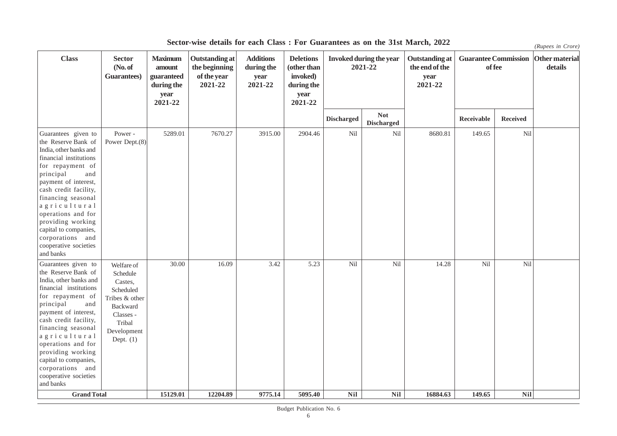**Sector-wise details for each Class : For Guarantees as on the 31st March, 2022**

| (Rupees in Crore) |  |  |  |  |
|-------------------|--|--|--|--|
|-------------------|--|--|--|--|

| <b>Class</b>                                                                                                                                                                                                                                                                                                                                                                      | <b>Sector</b><br>No. of<br>Guarantees)                                                                                            | <b>Maximum</b><br>amount<br>guaranteed<br>during the<br>year<br>2021-22 | <b>Outstanding at</b><br>the beginning<br>of the year<br>2021-22 | <b>Additions</b><br>during the<br>year<br>2021-22 | <b>Deletions</b><br>(other than<br>invoked)<br>during the<br>year<br>2021-22 |                   | Invoked during the year<br>2021-22 | Outstanding at<br>the end of the<br>year<br>2021-22 | <b>Guarantee Commission</b><br>of fee |                   | Other material<br>details |
|-----------------------------------------------------------------------------------------------------------------------------------------------------------------------------------------------------------------------------------------------------------------------------------------------------------------------------------------------------------------------------------|-----------------------------------------------------------------------------------------------------------------------------------|-------------------------------------------------------------------------|------------------------------------------------------------------|---------------------------------------------------|------------------------------------------------------------------------------|-------------------|------------------------------------|-----------------------------------------------------|---------------------------------------|-------------------|---------------------------|
|                                                                                                                                                                                                                                                                                                                                                                                   |                                                                                                                                   |                                                                         |                                                                  |                                                   |                                                                              | <b>Discharged</b> | <b>Not</b><br><b>Discharged</b>    |                                                     | Receivable                            | <b>Received</b>   |                           |
| Guarantees given to<br>the Reserve Bank of<br>India, other banks and<br>financial institutions<br>for repayment of<br>principal<br>and<br>payment of interest,<br>cash credit facility,<br>financing seasonal<br>agricultural<br>operations and for<br>providing working<br>capital to companies,<br>corporations and<br>cooperative societies<br>and banks                       | Power -<br>Power Dept.(8)                                                                                                         | 5289.01                                                                 | 7670.27                                                          | 3915.00                                           | 2904.46                                                                      | Nil               | Nil                                | 8680.81                                             | 149.65                                | Ni <sub>l</sub>   |                           |
| Guarantees given to<br>the Reserve Bank of<br>India, other banks and<br>financial institutions<br>for repayment of<br>principal<br>and<br>payment of interest,<br>cash credit facility,<br>financing seasonal<br>agricultural<br>operations and for<br>providing working<br>capital to companies,<br>corporations and<br>cooperative societies<br>and banks<br><b>Grand Total</b> | Welfare of<br>Schedule<br>Castes,<br>Scheduled<br>Tribes & other<br>Backward<br>Classes -<br>Tribal<br>Development<br>Dept. $(1)$ | 30.00<br>15129.01                                                       | 16.09<br>12204.89                                                | 3.42<br>9775.14                                   | 5.23<br>5095.40                                                              | Nil<br><b>Nil</b> | Nil<br><b>Nil</b>                  | 14.28<br>16884.63                                   | Nil<br>149.65                         | Nil<br><b>Nil</b> |                           |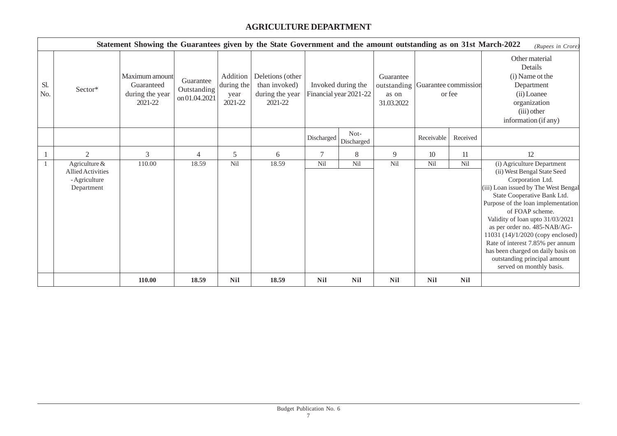#### **AGRICULTURE DEPARTMENT**

|            | Statement Showing the Guarantees given by the State Government and the amount outstanding as on 31st March-2022<br>(Rupees in Crore) |                                                            |                                           |                                           |                                                                 |            |                                                                                                                              |            |            |            |                                                                                                                                                                                                                                                                                                                                                                                                                                                              |  |  |  |
|------------|--------------------------------------------------------------------------------------------------------------------------------------|------------------------------------------------------------|-------------------------------------------|-------------------------------------------|-----------------------------------------------------------------|------------|------------------------------------------------------------------------------------------------------------------------------|------------|------------|------------|--------------------------------------------------------------------------------------------------------------------------------------------------------------------------------------------------------------------------------------------------------------------------------------------------------------------------------------------------------------------------------------------------------------------------------------------------------------|--|--|--|
| Sl.<br>No. | Sector*                                                                                                                              | Maximum amount<br>Guaranteed<br>during the year<br>2021-22 | Guarantee<br>Outstanding<br>on 01.04.2021 | Addition<br>during the<br>year<br>2021-22 | Deletions (other<br>than invoked)<br>during the year<br>2021-22 |            | Guarantee<br>Invoked during the<br>outstanding Guarantee commission<br>Financial year 2021-22<br>as on<br>31.03.2022<br>Not- |            |            | or fee     | Other material<br>Details<br>(i) Name ot the<br>Department<br>(ii) Loanee<br>organization<br>(iii) other<br>information (if any)                                                                                                                                                                                                                                                                                                                             |  |  |  |
|            |                                                                                                                                      |                                                            |                                           |                                           |                                                                 | Discharged | Discharged                                                                                                                   |            | Receivable | Received   |                                                                                                                                                                                                                                                                                                                                                                                                                                                              |  |  |  |
|            | $\overline{2}$                                                                                                                       | 3                                                          | $\overline{4}$                            | 5                                         | 6                                                               | $\tau$     | 8                                                                                                                            | 9          | 10         | 11         | 12                                                                                                                                                                                                                                                                                                                                                                                                                                                           |  |  |  |
|            | Agriculture &<br><b>Allied Activities</b><br>- Agriculture<br>Department                                                             | 110.00                                                     | 18.59                                     | Nil                                       | 18.59                                                           | Nil        | Nil                                                                                                                          | Nil        | Nil        | Nil        | (i) Agriculture Department<br>(ii) West Bengal State Seed<br>Corporation Ltd.<br>(iii) Loan issued by The West Bengal<br>State Cooperative Bank Ltd.<br>Purpose of the loan implementation<br>of FOAP scheme.<br>Validity of loan upto 31/03/2021<br>as per order no. 485-NAB/AG-<br>11031 (14)/1/2020 (copy enclosed)<br>Rate of interest 7.85% per annum<br>has been charged on daily basis on<br>outstanding principal amount<br>served on monthly basis. |  |  |  |
|            |                                                                                                                                      | 110.00                                                     | 18.59                                     | <b>Nil</b>                                | 18.59                                                           | <b>Nil</b> | <b>Nil</b>                                                                                                                   | <b>Nil</b> | <b>Nil</b> | <b>Nil</b> |                                                                                                                                                                                                                                                                                                                                                                                                                                                              |  |  |  |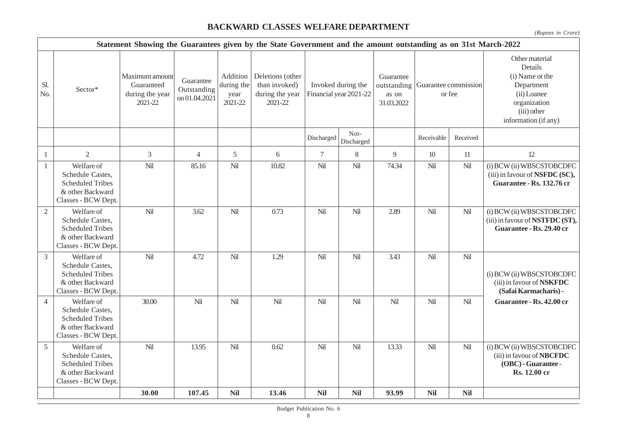#### **BACKWARD CLASSES WELFARE DEPARTMENT**

|                | Statement Showing the Guarantees given by the State Government and the amount outstanding as on 31st March-2022 |                                                            |                                           |                                           |                                                                 |                |                                              |                                                 |            |                                |                                                                                                                                  |  |
|----------------|-----------------------------------------------------------------------------------------------------------------|------------------------------------------------------------|-------------------------------------------|-------------------------------------------|-----------------------------------------------------------------|----------------|----------------------------------------------|-------------------------------------------------|------------|--------------------------------|----------------------------------------------------------------------------------------------------------------------------------|--|
| Sl.<br>No.     | Sector*                                                                                                         | Maximum amount<br>Guaranteed<br>during the year<br>2021-22 | Guarantee<br>Outstanding<br>on 01.04.2021 | Addition<br>during the<br>year<br>2021-22 | Deletions (other<br>than invoked)<br>during the year<br>2021-22 |                | Invoked during the<br>Financial year 2021-22 | Guarantee<br>outstanding<br>as on<br>31.03.2022 |            | Guarantee commission<br>or fee | Other material<br>Details<br>(i) Name ot the<br>Department<br>(ii) Loanee<br>organization<br>(iii) other<br>information (if any) |  |
|                |                                                                                                                 |                                                            |                                           |                                           |                                                                 | Discharged     | Not-<br>Discharged                           |                                                 | Receivable | Received                       |                                                                                                                                  |  |
| -1             | $\overline{2}$                                                                                                  | 3                                                          | $\overline{4}$                            | 5                                         | 6                                                               | $\overline{7}$ | $8\,$                                        | 9                                               | 10         | 11                             | 12                                                                                                                               |  |
| $\mathbf{1}$   | Welfare of<br>Schedule Castes,<br><b>Scheduled Tribes</b><br>& other Backward<br>Classes - BCW Dept.            | Nil                                                        | 85.16                                     | Nil                                       | 10.82                                                           | Nil            | Nil                                          | 74.34                                           | Nil        | Nil                            | (i) BCW (ii) WBSCSTOBCDFC<br>(iii) in favour of NSFDC (SC),<br>Guarantee - Rs. 132.76 cr                                         |  |
| $\overline{2}$ | Welfare of<br>Schedule Castes,<br><b>Scheduled Tribes</b><br>& other Backward<br>Classes - BCW Dept.            | Nil                                                        | 3.62                                      | Nil                                       | 0.73                                                            | Nil            | Nil                                          | 2.89                                            | Nil        | Nil                            | (i) BCW (ii) WBSCSTOBCDFC<br>(iii) in favour of NSTFDC (ST),<br>Guarantee - Rs. 29.40 cr                                         |  |
| $\mathfrak{Z}$ | Welfare of<br>Schedule Castes,<br><b>Scheduled Tribes</b><br>& other Backward<br>Classes - BCW Dept.            | Nil                                                        | 4.72                                      | Nil                                       | 1.29                                                            | Nil            | Nil                                          | 3.43                                            | Nil        | Nil                            | (i) BCW (ii) WBSCSTOBCDFC<br>(iii) in favour of NSKFDC<br>(Safai Karmacharis) -                                                  |  |
| $\overline{4}$ | Welfare of<br>Schedule Castes,<br><b>Scheduled Tribes</b><br>& other Backward<br>Classes - BCW Dept.            | 30.00                                                      | Nil                                       | Nil                                       | Nil                                                             | Nil            | Nil                                          | Nil                                             | Nil        | Nil                            | Guarantee - Rs. 42.00 cr                                                                                                         |  |
| 5              | Welfare of<br>Schedule Castes,<br><b>Scheduled Tribes</b><br>& other Backward<br>Classes - BCW Dept.            | Nil                                                        | 13.95                                     | Nil                                       | 0.62                                                            | Nil            | Nil                                          | 13.33                                           | Nil        | Nil                            | (i) BCW (ii) WBSCSTOBCDFC<br>(iii) in favour of NBCFDC<br>(OBC) - Guarantee -<br>Rs. 12.00 cr                                    |  |
|                |                                                                                                                 | 30.00                                                      | 107.45                                    | <b>Nil</b>                                | 13.46                                                           | <b>Nil</b>     | <b>Nil</b>                                   | 93.99                                           | <b>Nil</b> | <b>Nil</b>                     |                                                                                                                                  |  |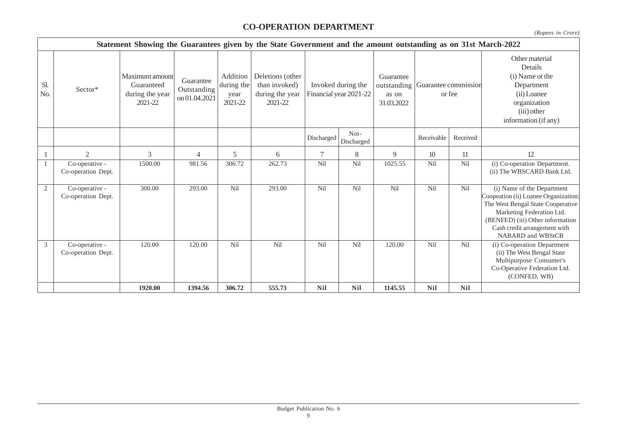#### **CO-OPERATION DEPARTMENT**

|            | Statement Showing the Guarantees given by the State Government and the amount outstanding as on 31st March-2022 |                                                            |                                           |                                           |                                                                 |            |                                              |                                                                      |            |            |                                                                                                                                                                                                                                      |  |  |  |
|------------|-----------------------------------------------------------------------------------------------------------------|------------------------------------------------------------|-------------------------------------------|-------------------------------------------|-----------------------------------------------------------------|------------|----------------------------------------------|----------------------------------------------------------------------|------------|------------|--------------------------------------------------------------------------------------------------------------------------------------------------------------------------------------------------------------------------------------|--|--|--|
| Sl.<br>No. | Sector*                                                                                                         | Maximum amount<br>Guaranteed<br>during the year<br>2021-22 | Guarantee<br>Outstanding<br>on 01.04.2021 | Addition<br>during the<br>year<br>2021-22 | Deletions (other<br>than invoked)<br>during the year<br>2021-22 |            | Invoked during the<br>Financial year 2021-22 | Guarantee<br>outstanding Guarantee commission<br>as on<br>31.03.2022 | or fee     |            | Other material<br>Details<br>(i) Name ot the<br>Department<br>(ii) Loanee<br>organization<br>(iii) other<br>information (if any)                                                                                                     |  |  |  |
|            |                                                                                                                 |                                                            |                                           |                                           |                                                                 | Discharged | Not-<br>Discharged                           |                                                                      | Receivable | Received   |                                                                                                                                                                                                                                      |  |  |  |
|            | $\mathfrak{D}$                                                                                                  | 3                                                          | $\overline{4}$                            | 5                                         | 6                                                               | $\tau$     | 8                                            | 9                                                                    | 10         | 11         | 12                                                                                                                                                                                                                                   |  |  |  |
|            | Co-operative -<br>Co-operation Dept.                                                                            | 1500.00                                                    | 981.56                                    | 306.72                                    | 262.73                                                          | Nil        | Nil                                          | 1025.55                                                              | Nil        | Nil        | (i) Co-operation Department.<br>(ii) The WBSCARD Bank Ltd.                                                                                                                                                                           |  |  |  |
| 2          | Co-operative -<br>Co-operation Dept.                                                                            | 300.00                                                     | 293.00                                    | Nil                                       | 293.00                                                          | Nil        | Nil                                          | Nil                                                                  | Nil        | Nil        | (i) Name of the Department<br>Coopeation (ii) Loanee Organization:<br>The West Bengal State Cooperative<br>Marketing Federation Ltd.<br>(BENFED) (iii) Other information<br>Cash credit arrangement with<br><b>NABARD</b> and WBStCB |  |  |  |
| 3          | Co-operative -<br>Co-operation Dept.                                                                            | 120.00                                                     | 120.00                                    | Nil                                       | Nil                                                             | Nil        | Nil                                          | 120.00                                                               | Nil        | Nil        | (i) Co-operation Department<br>(ii) The West Bengal State<br>Multipurpose Consumer's<br>Co-Operative Federation Ltd.<br>(CONFED, WB)                                                                                                 |  |  |  |
|            |                                                                                                                 | 1920.00                                                    | 1394.56                                   | 306.72                                    | 555.73                                                          | <b>Nil</b> | <b>Nil</b>                                   | 1145.55                                                              | <b>Nil</b> | <b>Nil</b> |                                                                                                                                                                                                                                      |  |  |  |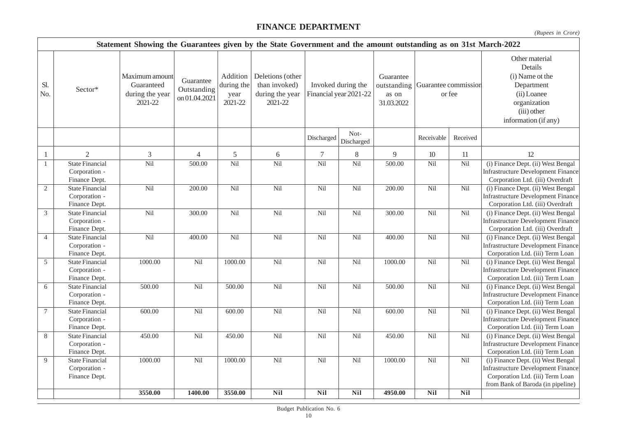#### **FINANCE DEPARTMENT**

|                  | Statement Showing the Guarantees given by the State Government and the amount outstanding as on 31st March-2022 |                                                            |                                           |                                           |                                                                 |                         |                                              |                                                                      |            |                  |                                                                                                                                                          |  |  |
|------------------|-----------------------------------------------------------------------------------------------------------------|------------------------------------------------------------|-------------------------------------------|-------------------------------------------|-----------------------------------------------------------------|-------------------------|----------------------------------------------|----------------------------------------------------------------------|------------|------------------|----------------------------------------------------------------------------------------------------------------------------------------------------------|--|--|
| Sl.<br>No.       | Sector*                                                                                                         | Maximum amount<br>Guaranteed<br>during the year<br>2021-22 | Guarantee<br>Outstanding<br>on 01.04.2021 | Addition<br>during the<br>year<br>2021-22 | Deletions (other<br>than invoked)<br>during the year<br>2021-22 |                         | Invoked during the<br>Financial year 2021-22 | Guarantee<br>outstanding Guarantee commission<br>as on<br>31.03.2022 |            | or fee           | Other material<br>Details<br>(i) Name ot the<br>Department<br>(ii) Loanee<br>organization<br>(iii) other<br>information (if any)                         |  |  |
|                  |                                                                                                                 |                                                            |                                           |                                           |                                                                 | Discharged              | Not-<br>Discharged                           |                                                                      | Receivable | Received         |                                                                                                                                                          |  |  |
| 1                | $\overline{2}$                                                                                                  | $\mathfrak{Z}$                                             | $\overline{4}$                            | 5                                         | $6\,$                                                           | $\overline{7}$          | 8                                            | 9                                                                    | 10         | 11               | 12                                                                                                                                                       |  |  |
| $\mathbf{1}$     | <b>State Financial</b><br>Corporation -<br>Finance Dept.                                                        | $\overline{Nil}$                                           | 500.00                                    | $\overline{Nil}$                          | $\overline{Nil}$                                                | $\overline{\text{Nil}}$ | Nil                                          | 500.00                                                               | Nil        | $\overline{Nil}$ | (i) Finance Dept. (ii) West Bengal<br><b>Infrastructure Development Finance</b><br>Corporation Ltd. (iii) Overdraft                                      |  |  |
| $\overline{2}$   | <b>State Financial</b><br>Corporation -<br>Finance Dept.                                                        | Nil                                                        | 200.00                                    | Nil                                       | $\overline{Nil}$                                                | Nil                     | Nil                                          | 200.00                                                               | Nil        | Nil              | (i) Finance Dept. (ii) West Bengal<br><b>Infrastructure Development Finance</b><br>Corporation Ltd. (iii) Overdraft                                      |  |  |
| $\overline{3}$   | <b>State Financial</b><br>Corporation -<br>Finance Dept.                                                        | Nil                                                        | 300.00                                    | Nil                                       | Nil                                                             | Nil                     | Nil                                          | 300.00                                                               | Nil        | Nil              | (i) Finance Dept. (ii) West Bengal<br><b>Infrastructure Development Finance</b><br>Corporation Ltd. (iii) Overdraft                                      |  |  |
| $\overline{4}$   | <b>State Financial</b><br>Corporation -<br>Finance Dept.                                                        | Nil                                                        | 400.00                                    | Nil                                       | Nil                                                             | Nil                     | Nil                                          | 400.00                                                               | Nil        | Nil              | (i) Finance Dept. (ii) West Bengal<br><b>Infrastructure Development Finance</b><br>Corporation Ltd. (iii) Term Loan                                      |  |  |
| 5                | <b>State Financial</b><br>Corporation -<br>Finance Dept.                                                        | 1000.00                                                    | Nil                                       | 1000.00                                   | Nil                                                             | Nil                     | Nil                                          | 1000.00                                                              | Nil        | Nil              | (i) Finance Dept. (ii) West Bengal<br><b>Infrastructure Development Finance</b><br>Corporation Ltd. (iii) Term Loan                                      |  |  |
| 6                | <b>State Financial</b><br>Corporation -<br>Finance Dept.                                                        | 500.00                                                     | Nil                                       | 500.00                                    | Nil                                                             | Nil                     | Nil                                          | 500.00                                                               | Nil        | Nil              | (i) Finance Dept. (ii) West Bengal<br><b>Infrastructure Development Finance</b><br>Corporation Ltd. (iii) Term Loan                                      |  |  |
| $\boldsymbol{7}$ | <b>State Financial</b><br>Corporation -<br>Finance Dept.                                                        | 600.00                                                     | Nil                                       | 600.00                                    | Nil                                                             | Nil                     | Nil                                          | 600.00                                                               | Nil        | Nil              | (i) Finance Dept. (ii) West Bengal<br><b>Infrastructure Development Finance</b><br>Corporation Ltd. (iii) Term Loan                                      |  |  |
| $\,8\,$          | <b>State Financial</b><br>Corporation -<br>Finance Dept.                                                        | 450.00                                                     | Nil                                       | 450.00                                    | Nil                                                             | Nil                     | Nil                                          | 450.00                                                               | Nil        | Nil              | (i) Finance Dept. (ii) West Bengal<br><b>Infrastructure Development Finance</b><br>Corporation Ltd. (iii) Term Loan                                      |  |  |
| 9                | <b>State Financial</b><br>Corporation -<br>Finance Dept.                                                        | 1000.00                                                    | Nil                                       | 1000.00                                   | $\overline{Nil}$                                                | Nil                     | Nil                                          | 1000.00                                                              | Nil        | Nil              | (i) Finance Dept. (ii) West Bengal<br><b>Infrastructure Development Finance</b><br>Corporation Ltd. (iii) Term Loan<br>from Bank of Baroda (in pipeline) |  |  |
|                  |                                                                                                                 | 3550.00                                                    | 1400.00                                   | 3550.00                                   | Nil                                                             | Nil                     | Nil                                          | 4950.00                                                              | Nil        | Nil              |                                                                                                                                                          |  |  |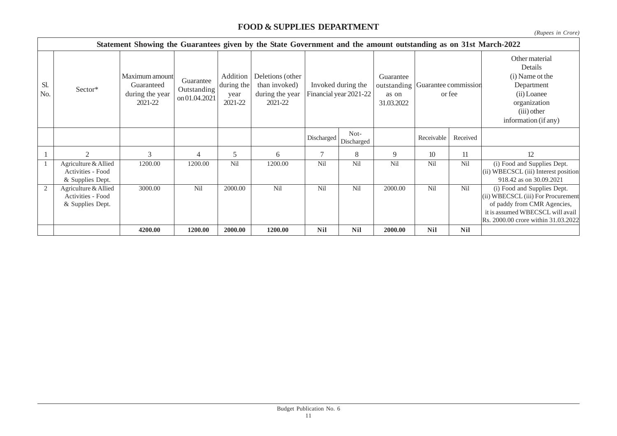#### **FOOD & SUPPLIES DEPARTMENT**

|            |                                                                      | Statement Showing the Guarantees given by the State Government and the amount outstanding as on 31st March-2022 |                                           |                                           |                                                                 |                |                                              |                                                                      |            |            |                                                                                                                                                                               |
|------------|----------------------------------------------------------------------|-----------------------------------------------------------------------------------------------------------------|-------------------------------------------|-------------------------------------------|-----------------------------------------------------------------|----------------|----------------------------------------------|----------------------------------------------------------------------|------------|------------|-------------------------------------------------------------------------------------------------------------------------------------------------------------------------------|
| Sl.<br>No. | Sector*                                                              | Maximum amount<br>Guaranteed<br>during the year<br>$2021 - 22$                                                  | Guarantee<br>Outstanding<br>on 01.04.2021 | Addition<br>during the<br>year<br>2021-22 | Deletions (other<br>than invoked)<br>during the year<br>2021-22 |                | Invoked during the<br>Financial year 2021-22 | Guarantee<br>outstanding Guarantee commission<br>as on<br>31.03.2022 |            | or fee     | Other material<br>Details<br>(i) Name ot the<br>Department<br>(ii) Loanee<br>organization<br>(iii) other<br>information (if any)                                              |
|            |                                                                      |                                                                                                                 |                                           |                                           |                                                                 | Discharged     | Not-<br>Receivable<br>Discharged             |                                                                      | Received   |            |                                                                                                                                                                               |
|            | $\mathfrak{D}$                                                       | 3                                                                                                               | 4                                         | 5                                         | 6                                                               | $\overline{7}$ | 8                                            | 9                                                                    | 10         | 11         | 12                                                                                                                                                                            |
|            | Agriculture & Allied<br><b>Activities - Food</b><br>& Supplies Dept. | 1200.00                                                                                                         | 1200.00                                   | Nil                                       | 1200.00                                                         | Nil            | Nil                                          | Nil                                                                  | Nil        | Nil        | (i) Food and Supplies Dept.<br>$(iii) WBECSCL (iii) Interest position$<br>918.42 as on 30.09.2021                                                                             |
| 2          | Agriculture & Allied<br>Activities - Food<br>& Supplies Dept.        | 3000.00                                                                                                         | Nil                                       | 2000.00                                   | Nil                                                             | Nil            | Nil                                          | 2000.00                                                              | Nil        | Nil        | (i) Food and Supplies Dept.<br>$(iii) WBECSCL (iii) For Procurrent$<br>of paddy from CMR Agencies,<br>it is assumed WBECSCL will avail<br>Rs. 2000.00 crore within 31.03.2022 |
|            |                                                                      | 4200.00                                                                                                         | 1200.00                                   | 2000.00                                   | 1200.00                                                         | <b>Nil</b>     | <b>Nil</b>                                   | 2000.00                                                              | <b>Nil</b> | <b>Nil</b> |                                                                                                                                                                               |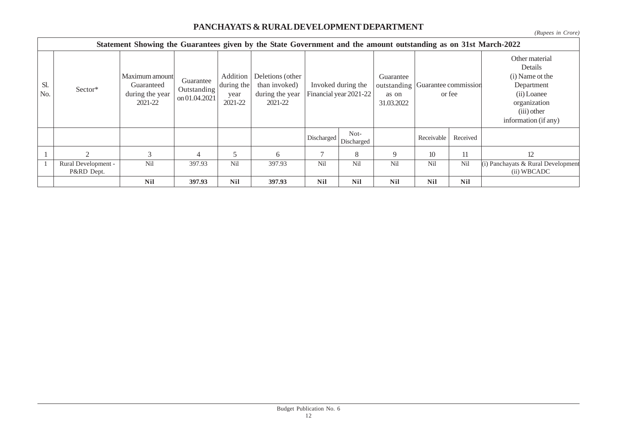#### **PANCHAYATS & RURAL DEVELOPMENT DEPARTMENT**

|            |                                   | Statement Showing the Guarantees given by the State Government and the amount outstanding as on 31st March-2022 |                                           |                                           |                                                                 |                                                  |                                              |                                                                      |                 |            |                                                                                                                                  |
|------------|-----------------------------------|-----------------------------------------------------------------------------------------------------------------|-------------------------------------------|-------------------------------------------|-----------------------------------------------------------------|--------------------------------------------------|----------------------------------------------|----------------------------------------------------------------------|-----------------|------------|----------------------------------------------------------------------------------------------------------------------------------|
| Sl.<br>No. | Sector*                           | Maximum amount<br>Guaranteed<br>during the year<br>2021-22                                                      | Guarantee<br>Outstanding<br>on 01.04.2021 | Addition<br>during the<br>year<br>2021-22 | Deletions (other<br>than invoked)<br>during the year<br>2021-22 |                                                  | Invoked during the<br>Financial year 2021-22 | Guarantee<br>outstanding Guarantee commission<br>as on<br>31.03.2022 |                 | or fee     | Other material<br>Details<br>(i) Name ot the<br>Department<br>(ii) Loanee<br>organization<br>(iii) other<br>information (if any) |
|            |                                   |                                                                                                                 |                                           |                                           |                                                                 | $Not-$<br>Discharged<br>Receivable<br>Discharged |                                              | Received                                                             |                 |            |                                                                                                                                  |
|            | ∍                                 | $\mathcal{R}$                                                                                                   | 4                                         | 5                                         | 6                                                               |                                                  | 8                                            | 9                                                                    | 10 <sup>2</sup> |            | 12                                                                                                                               |
|            | Rural Development -<br>P&RD Dept. | Nil                                                                                                             | 397.93                                    | Nil                                       | 397.93                                                          | Nil                                              | Nil                                          | Nil                                                                  | Nil             | Nil        | (i) Panchayats & Rural Development<br>(ii) WBCADC                                                                                |
|            |                                   | <b>Nil</b>                                                                                                      | 397.93                                    | <b>Nil</b>                                | 397.93                                                          | <b>Nil</b>                                       | <b>Nil</b>                                   | <b>Nil</b>                                                           | <b>Nil</b>      | <b>Nil</b> |                                                                                                                                  |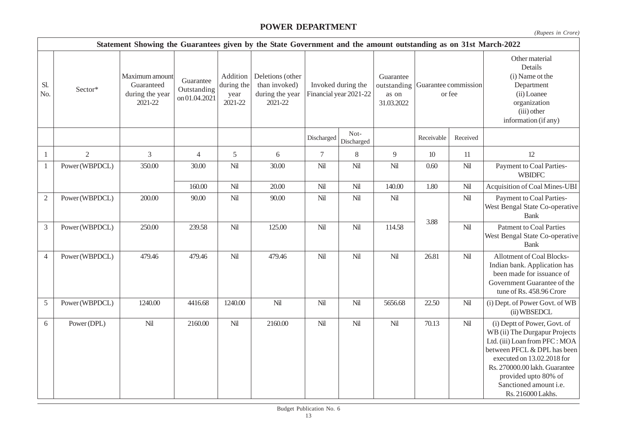#### **POWER DEPARTMENT**

|                |                | Statement Showing the Guarantees given by the State Government and the amount outstanding as on 31st March-2022 |                                           |                                           |                                                                 |                 |                                              |                                                                      |            |          |                                                                                                                                                                                                                                                                     |
|----------------|----------------|-----------------------------------------------------------------------------------------------------------------|-------------------------------------------|-------------------------------------------|-----------------------------------------------------------------|-----------------|----------------------------------------------|----------------------------------------------------------------------|------------|----------|---------------------------------------------------------------------------------------------------------------------------------------------------------------------------------------------------------------------------------------------------------------------|
| Sl.<br>No.     | Sector*        | Maximum amount<br>Guaranteed<br>during the year<br>2021-22                                                      | Guarantee<br>Outstanding<br>on 01.04.2021 | Addition<br>during the<br>year<br>2021-22 | Deletions (other<br>than invoked)<br>during the year<br>2021-22 |                 | Invoked during the<br>Financial year 2021-22 | Guarantee<br>outstanding Guarantee commission<br>as on<br>31.03.2022 |            | or fee   | Other material<br>Details<br>(i) Name ot the<br>Department<br>(ii) Loanee<br>organization<br>(iii) other<br>information (if any)                                                                                                                                    |
|                |                |                                                                                                                 |                                           |                                           |                                                                 | Discharged      | Not-<br>Discharged                           |                                                                      | Receivable | Received |                                                                                                                                                                                                                                                                     |
| 1              | $\overline{2}$ | $\ensuremath{\mathfrak{Z}}$                                                                                     | $\overline{4}$                            | 5                                         | $6\,$                                                           | $7\phantom{.0}$ | $8\,$                                        | $\overline{9}$                                                       | 10         | 11       | 12                                                                                                                                                                                                                                                                  |
| $\mathbf{1}$   | Power (WBPDCL) | 350.00                                                                                                          | 30.00                                     | Nil                                       | 30.00                                                           | Nil             | Nil                                          | Nil                                                                  | 0.60       | Nil      | Payment to Coal Parties-<br><b>WBIDFC</b>                                                                                                                                                                                                                           |
|                |                |                                                                                                                 | 160.00                                    | Nil                                       | 20.00                                                           | Nil             | Nil                                          | 140.00                                                               | 1.80       | Nil      | Acquisition of Coal Mines-UBI                                                                                                                                                                                                                                       |
| $\mathfrak{2}$ | Power (WBPDCL) | 200.00                                                                                                          | 90.00                                     | Nil                                       | 90.00                                                           | Nil             | Nil                                          | Nil                                                                  |            | Nil      | Payment to Coal Parties-<br>West Bengal State Co-operative<br><b>Bank</b>                                                                                                                                                                                           |
| 3              | Power (WBPDCL) | 250.00                                                                                                          | 239.58                                    | Nil                                       | 125.00                                                          | Nil             | Nil                                          | 114.58                                                               | 3.88       | Nil      | <b>Patment to Coal Parties</b><br>West Bengal State Co-operative<br><b>Bank</b>                                                                                                                                                                                     |
| $\overline{4}$ | Power (WBPDCL) | 479.46                                                                                                          | 479.46                                    | Nil                                       | 479.46                                                          | Nil             | Nil                                          | Nil                                                                  | 26.81      | Nil      | Allotment of Coal Blocks-<br>Indian bank. Application has<br>been made for issuance of<br>Government Guarantee of the<br>tune of Rs. 458.96 Crore                                                                                                                   |
| 5              | Power (WBPDCL) | 1240.00                                                                                                         | 4416.68                                   | 1240.00                                   | Nil                                                             | Nil             | Nil                                          | 5656.68                                                              | 22.50      | Nil      | (i) Dept. of Power Govt. of WB<br>(ii) WBSEDCL                                                                                                                                                                                                                      |
| 6              | Power (DPL)    | Nil                                                                                                             | 2160.00                                   | Nil                                       | 2160.00                                                         | Nil             | Nil                                          | Nil                                                                  | 70.13      | Nil      | (i) Deptt of Power, Govt. of<br>WB (ii) The Durgapur Projects<br>Ltd. (iii) Loan from PFC: MOA<br>between PFCL & DPL has been<br>executed on 13.02.2018 for<br>Rs. 270000.00 lakh. Guarantee<br>provided upto 80% of<br>Sanctioned amount i.e.<br>Rs. 216000 Lakhs. |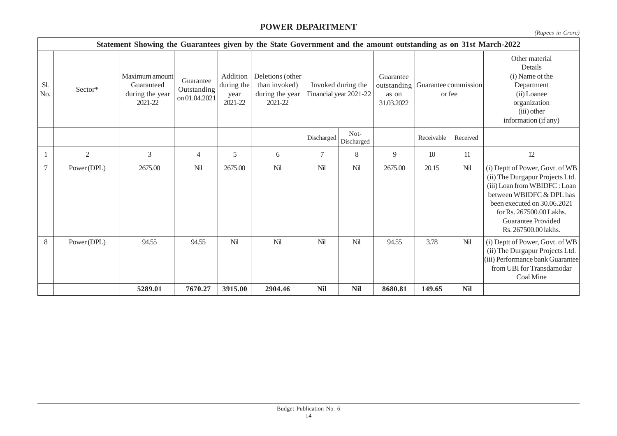#### **POWER DEPARTMENT**

|            |             | Statement Showing the Guarantees given by the State Government and the amount outstanding as on 31st March-2022 |                                           |                                           |                                                                 |                                                      |            |                                                 |            |                                |                                                                                                                                                                                                                                         |
|------------|-------------|-----------------------------------------------------------------------------------------------------------------|-------------------------------------------|-------------------------------------------|-----------------------------------------------------------------|------------------------------------------------------|------------|-------------------------------------------------|------------|--------------------------------|-----------------------------------------------------------------------------------------------------------------------------------------------------------------------------------------------------------------------------------------|
| Sl.<br>No. | Sector*     | Maximum amount<br>Guaranteed<br>during the year<br>2021-22                                                      | Guarantee<br>Outstanding<br>on 01.04.2021 | Addition<br>during the<br>year<br>2021-22 | Deletions (other<br>than invoked)<br>during the year<br>2021-22 | Invoked during the<br>Financial year 2021-22<br>Not- |            | Guarantee<br>outstanding<br>as on<br>31.03.2022 |            | Guarantee commission<br>or fee | Other material<br>Details<br>(i) Name ot the<br>Department<br>(ii) Loanee<br>organization<br>(iii) other<br>information (if any)                                                                                                        |
|            |             |                                                                                                                 |                                           |                                           |                                                                 | Discharged<br>Discharged                             |            |                                                 | Receivable | Received                       |                                                                                                                                                                                                                                         |
|            | 2           | $\mathfrak{Z}$                                                                                                  | 4                                         | 5                                         | 6                                                               | $\tau$                                               | 8          | 9                                               | 10         | 11                             | 12                                                                                                                                                                                                                                      |
| $\tau$     | Power (DPL) | 2675.00                                                                                                         | Nil                                       | 2675.00                                   | Nil                                                             | Nil                                                  | Nil        | 2675.00                                         | 20.15      | Nil                            | (i) Deptt of Power, Govt. of WB<br>(ii) The Durgapur Projects Ltd.<br>(iii) Loan from WBIDFC: Loan<br>between WBIDFC & DPL has<br>been executed on 30.06.2021<br>for Rs. 267500.00 Lakhs.<br>Guarantee Provided<br>Rs. 267500.00 lakhs. |
| 8          | Power (DPL) | 94.55                                                                                                           | 94.55                                     | Nil                                       | Nil                                                             | Nil                                                  | Nil        | 94.55                                           | 3.78       | Nil                            | (i) Deptt of Power, Govt. of WB<br>(ii) The Durgapur Projects Ltd.<br>(iii) Performance bank Guarantee<br>from UBI for Transdamodar<br>Coal Mine                                                                                        |
|            |             | 5289.01                                                                                                         | 7670.27                                   | 3915.00                                   | 2904.46                                                         | <b>Nil</b>                                           | <b>Nil</b> | 8680.81                                         | 149.65     | <b>Nil</b>                     |                                                                                                                                                                                                                                         |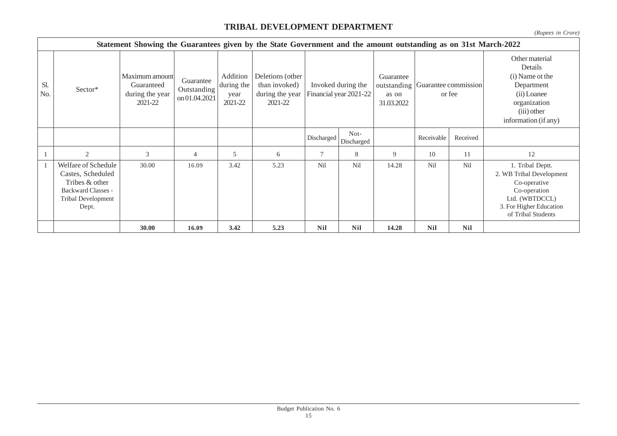#### **TRIBAL DEVELOPMENT DEPARTMENT**

|              |                                                                                                                               | Statement Showing the Guarantees given by the State Government and the amount outstanding as on 31st March-2022 |                                           |                                           |                                                                 |                                                                                    |            |                                                                      |            |            |                                                                                                                                                 |
|--------------|-------------------------------------------------------------------------------------------------------------------------------|-----------------------------------------------------------------------------------------------------------------|-------------------------------------------|-------------------------------------------|-----------------------------------------------------------------|------------------------------------------------------------------------------------|------------|----------------------------------------------------------------------|------------|------------|-------------------------------------------------------------------------------------------------------------------------------------------------|
| Sl.<br>No.   | Sector*                                                                                                                       | Maximum amount<br>Guaranteed<br>during the year<br>2021-22                                                      | Guarantee<br>Outstanding<br>on 01.04.2021 | Addition<br>during the<br>year<br>2021-22 | Deletions (other<br>than invoked)<br>during the year<br>2021-22 | Invoked during the<br>Financial year 2021-22<br>$Not-$<br>Discharged<br>Discharged |            | Guarantee<br>outstanding Guarantee commission<br>as on<br>31.03.2022 |            | or fee     | Other material<br>Details<br>(i) Name ot the<br>Department<br>(ii) Loanee<br>organization<br>(iii) other<br>information (if any)                |
|              |                                                                                                                               |                                                                                                                 |                                           |                                           |                                                                 |                                                                                    |            |                                                                      | Receivable | Received   |                                                                                                                                                 |
|              | 2                                                                                                                             | 3                                                                                                               | $\overline{4}$                            | 5                                         | 6                                                               | $\overline{7}$                                                                     | 8          | 9                                                                    | 10         | 11         | 12                                                                                                                                              |
| $\mathbf{1}$ | Welfare of Schedule<br>Castes, Scheduled<br>Tribes & other<br><b>Backward Classes -</b><br><b>Tribal Development</b><br>Dept. | 30.00                                                                                                           | 16.09                                     | 3.42                                      | 5.23                                                            | Nil                                                                                | Nil        | 14.28                                                                | Nil        | Nil        | 1. Tribal Deptt.<br>2. WB Tribal Development<br>Co-operative<br>Co-operation<br>Ltd. (WBTDCCL)<br>3. For Higher Education<br>of Tribal Students |
|              |                                                                                                                               | 30.00                                                                                                           | 16.09                                     | 3.42                                      | 5.23                                                            | <b>Nil</b>                                                                         | <b>Nil</b> | 14.28                                                                | <b>Nil</b> | <b>Nil</b> |                                                                                                                                                 |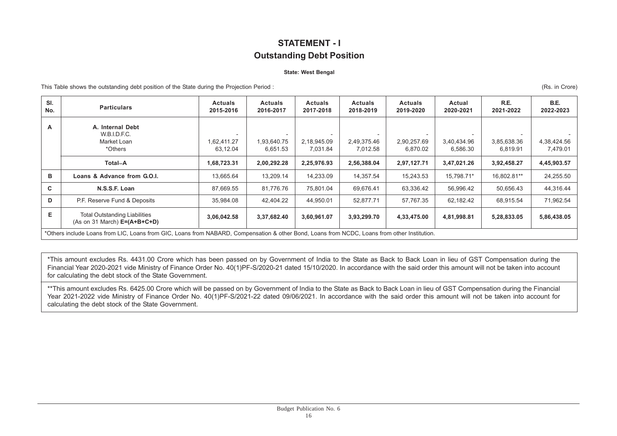### **STATEMENT - I Outstanding Debt Position**

#### **State: West Bengal**

This Table shows the outstanding debt position of the State during the Projection Period : (Rs. in Crore)

| SI.<br>No. | <b>Particulars</b>                                                                                                                           | <b>Actuals</b><br>2015-2016 | <b>Actuals</b><br>2016-2017 | <b>Actuals</b><br>2017-2018 | <b>Actuals</b><br>2018-2019 | <b>Actuals</b><br>2019-2020 | Actual<br>2020-2021     | R.E.<br>2021-2022       | B.E.<br>2022-2023       |
|------------|----------------------------------------------------------------------------------------------------------------------------------------------|-----------------------------|-----------------------------|-----------------------------|-----------------------------|-----------------------------|-------------------------|-------------------------|-------------------------|
| A          | A. Internal Debt<br>W.B.I.D.F.C.<br>Market Loan<br>*Others                                                                                   | 1,62,411.27<br>63,12.04     | 1,93,640.75<br>6,651.53     | 2,18,945.09<br>7,031.84     | 2,49,375.46<br>7,012.58     | 2,90,257.69<br>6,870.02     | 3,40,434.96<br>6,586.30 | 3,85,638.36<br>6,819.91 | 4,38,424.56<br>7,479.01 |
|            | Total-A                                                                                                                                      | 1,68,723.31                 | 2,00,292.28                 | 2,25,976.93                 | 2,56,388.04                 | 2,97,127.71                 | 3,47,021.26             | 3,92,458.27             | 4,45,903.57             |
| в          | Loans & Advance from G.O.I.                                                                                                                  | 13,665.64                   | 13,209.14                   | 14,233.09                   | 14,357.54                   | 15,243.53                   | 15,798.71*              | 16,802.81**             | 24,255.50               |
| C          | N.S.S.F. Loan                                                                                                                                | 87,669.55                   | 81,776.76                   | 75,801.04                   | 69,676.41                   | 63,336.42                   | 56,996.42               | 50,656.43               | 44,316.44               |
| D          | P.F. Reserve Fund & Deposits                                                                                                                 | 35,984.08                   | 42,404.22                   | 44,950.01                   | 52,877.71                   | 57,767.35                   | 62,182.42               | 68,915.54               | 71,962.54               |
| E.         | <b>Total Outstanding Liabilities</b><br>(As on 31 March) $E=(A+B+C+D)$                                                                       | 3,06,042.58                 | 3,37,682.40                 | 3,60,961.07                 | 3,93,299.70                 | 4,33,475.00                 | 4,81,998.81             | 5,28,833.05             | 5,86,438.05             |
|            | *Others include Loans from LIC, Loans from GIC, Loans from NABARD, Compensation & other Bond, Loans from NCDC, Loans from other Institution. |                             |                             |                             |                             |                             |                         |                         |                         |

\*This amount excludes Rs. 4431.00 Crore which has been passed on by Government of India to the State as Back to Back Loan in lieu of GST Compensation during the Financial Year 2020-2021 vide Ministry of Finance Order No. 40(1)PF-S/2020-21 dated 15/10/2020. In accordance with the said order this amount will not be taken into account for calculating the debt stock of the State Government.

\*\*This amount excludes Rs. 6425.00 Crore which will be passed on by Government of India to the State as Back to Back Loan in lieu of GST Compensation during the Financial Year 2021-2022 vide Ministry of Finance Order No. 40(1)PF-S/2021-22 dated 09/06/2021. In accordance with the said order this amount will not be taken into account for calculating the debt stock of the State Government.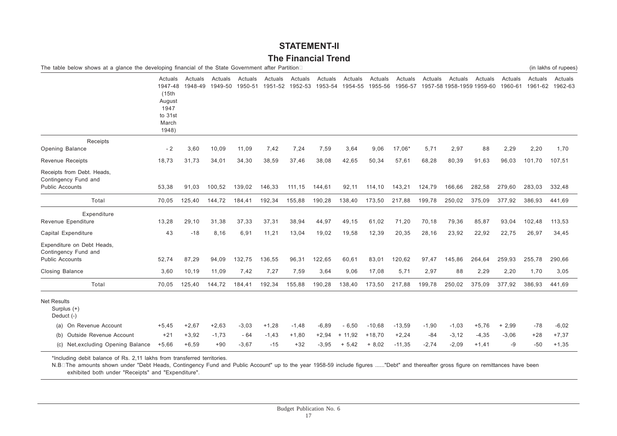#### **STATEMENT-II**

#### **The Financial Trend**

The table below shows at a glance the developing financial of the State Government after Partition **Financial** of the State Government after Partition **Financial** contents and the State Sovernment after Partition **Financia** 

|                                                                              | Actuals<br>1947-48<br>(15th)<br>August<br>1947<br>to 31st<br>March<br>1948) | Actuals<br>1948-49 | Actuals<br>1949-50 | Actuals<br>1950-51 | Actuals<br>1951-52 | Actuals<br>1952-53 | Actuals<br>1953-54 | Actuals<br>1954-55 | Actuals<br>1955-56 | Actuals<br>1956-57 | Actuals | Actuals | Actuals<br>1957-58 1958-1959 1959-60 | Actuals<br>1960-61 | Actuals<br>1961-62 | Actuals<br>1962-63 |
|------------------------------------------------------------------------------|-----------------------------------------------------------------------------|--------------------|--------------------|--------------------|--------------------|--------------------|--------------------|--------------------|--------------------|--------------------|---------|---------|--------------------------------------|--------------------|--------------------|--------------------|
| Receipts                                                                     |                                                                             |                    |                    |                    |                    |                    |                    |                    |                    |                    |         |         |                                      |                    |                    |                    |
| <b>Opening Balance</b>                                                       | $-2$                                                                        | 3,60               | 10,09              | 11,09              | 7,42               | 7,24               | 7,59               | 3,64               | 9,06               | 17,06*             | 5,71    | 2,97    | 88                                   | 2,29               | 2,20               | 1,70               |
| Revenue Receipts                                                             | 18,73                                                                       | 31,73              | 34,01              | 34,30              | 38,59              | 37,46              | 38,08              | 42,65              | 50,34              | 57,61              | 68,28   | 80,39   | 91,63                                | 96,03              | 101,70             | 107,51             |
| Receipts from Debt. Heads,<br>Contingency Fund and<br><b>Public Accounts</b> | 53,38                                                                       | 91,03              | 100,52             | 139,02             | 146,33             | 111,15             | 144,61             | 92,11              | 114,10             | 143,21             | 124,79  | 166,66  | 282,58                               | 279,60             | 283,03             | 332,48             |
| Total                                                                        | 70,05                                                                       | 125,40             | 144,72             | 184,41             | 192,34             | 155,88             | 190,28             | 138,40             | 173,50             | 217,88             | 199,78  | 250,02  | 375.09                               | 377,92             | 386.93             | 441,69             |
| Expenditure<br>Revenue Ependiture                                            | 13,28                                                                       | 29,10              | 31,38              | 37,33              | 37,31              | 38,94              | 44,97              | 49,15              | 61,02              | 71,20              | 70,18   | 79,36   | 85,87                                | 93,04              | 102,48             | 113,53             |
| Capital Expenditure                                                          | 43                                                                          | $-18$              | 8,16               | 6,91               | 11,21              | 13,04              | 19,02              | 19,58              | 12,39              | 20,35              | 28,16   | 23,92   | 22,92                                | 22,75              | 26,97              | 34,45              |
| Expenditure on Debt Heads,<br>Contingency Fund and<br><b>Public Accounts</b> | 52,74                                                                       | 87,29              | 94,09              | 132,75             | 136,55             | 96,31              | 122,65             | 60,61              | 83,01              | 120,62             | 97,47   | 145,86  | 264,64                               | 259,93             | 255,78             | 290,66             |
| <b>Closing Balance</b>                                                       | 3,60                                                                        | 10,19              | 11,09              | 7,42               | 7,27               | 7,59               | 3,64               | 9,06               | 17,08              | 5,71               | 2,97    | 88      | 2,29                                 | 2,20               | 1,70               | 3,05               |
| Total                                                                        | 70,05                                                                       | 125,40             | 144,72             | 184,41             | 192,34             | 155,88             | 190,28             | 138,40             | 173,50             | 217,88             | 199,78  | 250,02  | 375,09                               | 377,92             | 386,93             | 441.69             |
| <b>Net Results</b><br>Surplus (+)<br>Deduct (-)                              |                                                                             |                    |                    |                    |                    |                    |                    |                    |                    |                    |         |         |                                      |                    |                    |                    |
| (a) On Revenue Account                                                       | $+5,45$                                                                     | $+2,67$            | $+2,63$            | $-3,03$            | $+1,28$            | $-1,48$            | $-6,89$            | $-6,50$            | $-10,68$           | $-13,59$           | $-1,90$ | $-1,03$ | $+5,76$                              | $+2,99$            | $-78$              | $-6,02$            |
| Outside Revenue Account<br>(b)                                               | $+21$                                                                       | $+3,92$            | $-1,73$            | $-64$              | $-1,43$            | $+1,80$            | $+2,94$            | $+ 11,92$          | $+18,70$           | $+2,24$            | $-84$   | $-3,12$ | $-4,35$                              | $-3,06$            | $+28$              | $+7,37$            |
| (c) Net, excluding Opening Balance                                           | $+5,66$                                                                     | $+6.59$            | $+90$              | $-3,67$            | $-15$              | $+32$              | $-3,95$            | $+ 5,42$           | $+8,02$            | $-11.35$           | $-2,74$ | $-2,09$ | $+1.41$                              | -9                 | $-50$              | $+1,35$            |

\*Including debit balance of Rs. 2,11 lakhs from transferred territories.

N.B□The amounts shown under "Debt Heads, Contingency Fund and Public Account" up to the year 1958-59 include figures ......"Debt" and thereafter gross figure on remittances have been exhibited both under "Receipts" and "Expenditure".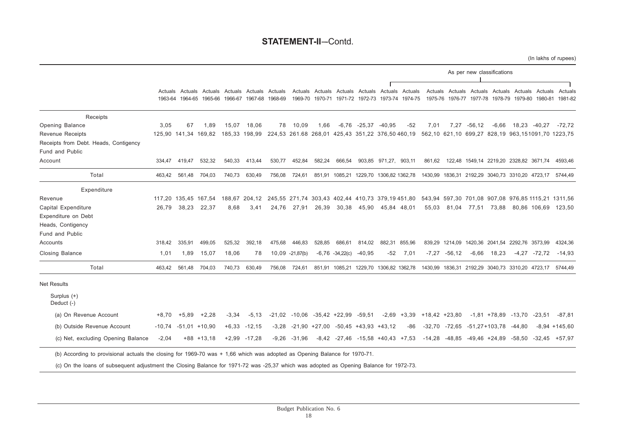#### **STATEMENT-II-Contd.**

(In lakhs of rupees)

|                                                                                                                           |                      |                    |                    |                    |                |                            |                                                  |                   |                                                    |                          |                       |                    |                                                                                                     |                    |                    | As per new classifications      |                    |                                                   |                    |
|---------------------------------------------------------------------------------------------------------------------------|----------------------|--------------------|--------------------|--------------------|----------------|----------------------------|--------------------------------------------------|-------------------|----------------------------------------------------|--------------------------|-----------------------|--------------------|-----------------------------------------------------------------------------------------------------|--------------------|--------------------|---------------------------------|--------------------|---------------------------------------------------|--------------------|
|                                                                                                                           | Actuals<br>1963-64   | Actuals<br>1964-65 | Actuals<br>1965-66 | Actuals<br>1966-67 | 1967-68        | Actuals Actuals<br>1968-69 | 1969-70                                          | 1970-71           | Actuals Actuals Actuals Actuals Actuals<br>1971-72 |                          | 1972-73 1973-74       | Actuals<br>1974-75 | Actuals<br>1975-76                                                                                  | Actuals<br>1976-77 | Actuals<br>1977-78 | Actuals<br>1978-79              | Actuals<br>1979-80 | Actuals<br>1980-81                                | Actuals<br>1981-82 |
|                                                                                                                           |                      |                    |                    |                    |                |                            |                                                  |                   |                                                    |                          |                       |                    |                                                                                                     |                    |                    |                                 |                    |                                                   |                    |
| Receipts                                                                                                                  |                      |                    |                    |                    |                |                            |                                                  |                   |                                                    |                          |                       |                    |                                                                                                     |                    |                    |                                 |                    |                                                   |                    |
| <b>Opening Balance</b>                                                                                                    | 3,05                 | 67                 | 1,89               | 15,07              | 18,06          | 78                         | 10,09                                            | 1,66              | $-6,76$                                            | $-25,37$                 | $-40,95$              | -52                | 7,01                                                                                                | 7,27               | $-56, 12$          | $-6,66$                         | 18,23              | -40.27                                            | $-72,72$           |
| Revenue Receipts                                                                                                          | 125,90 141,34 169,82 |                    |                    | 185,33             | 198,99         |                            | 224,53 261.68 268,01 425,43 351,22 376,50 460,19 |                   |                                                    |                          |                       |                    |                                                                                                     |                    |                    |                                 |                    | 562,10 621,10 699,27 828,19 963,151091,70 1223,75 |                    |
| Receipts from Debt. Heads, Contigency                                                                                     |                      |                    |                    |                    |                |                            |                                                  |                   |                                                    |                          |                       |                    |                                                                                                     |                    |                    |                                 |                    |                                                   |                    |
| Fund and Public                                                                                                           |                      |                    |                    |                    |                |                            |                                                  |                   |                                                    |                          |                       |                    |                                                                                                     |                    |                    |                                 |                    |                                                   |                    |
| Account                                                                                                                   | 334,47               | 419,47             | 532,32             | 540,33             | 413,44         | 530,77                     | 452,84                                           | 582,24            | 666,54                                             |                          | 903,85 971,27, 903,11 |                    | 861,62                                                                                              |                    |                    |                                 |                    | 122,48 1549,14 2219,20 2328,82 3671,74 4593,46    |                    |
| Total                                                                                                                     |                      | 463,42 561,48      | 704,03             | 740,73             | 630,49         |                            | 756,08 724,61                                    |                   |                                                    |                          |                       |                    | 851,91 1085,21 1229,70 1306,82 1362,78 1430,99 1836,31 2192,29 3040,73 3310,20 4723,17 5744,49      |                    |                    |                                 |                    |                                                   |                    |
| Expenditure                                                                                                               |                      |                    |                    |                    |                |                            |                                                  |                   |                                                    |                          |                       |                    |                                                                                                     |                    |                    |                                 |                    |                                                   |                    |
| Revenue                                                                                                                   | 117,20               | 135,45             | 167,54             | 188,67             | 204,12         |                            |                                                  |                   |                                                    |                          |                       |                    | 245,55 271,74 303,43 402,44 410,73 379,19 451,80 543,94 597,30 701,08 907,08 976,85 1115,21 1311,56 |                    |                    |                                 |                    |                                                   |                    |
| Capital Expenditure                                                                                                       | 26,79                | 38,23              | 22,37              | 8,68               | 3,41           | 24,76                      | 27,91                                            | 26,39             | 30,38                                              | 45,90                    |                       | 45,84 48,01        | 55,03                                                                                               | 81,04              | 77,51              | 73,88                           |                    | 80,86 106,69 123,50                               |                    |
| Expenditure on Debt                                                                                                       |                      |                    |                    |                    |                |                            |                                                  |                   |                                                    |                          |                       |                    |                                                                                                     |                    |                    |                                 |                    |                                                   |                    |
| Heads, Contigency                                                                                                         |                      |                    |                    |                    |                |                            |                                                  |                   |                                                    |                          |                       |                    |                                                                                                     |                    |                    |                                 |                    |                                                   |                    |
| Fund and Public                                                                                                           |                      |                    |                    |                    |                |                            |                                                  |                   |                                                    |                          |                       |                    |                                                                                                     |                    |                    |                                 |                    |                                                   |                    |
| Accounts                                                                                                                  | 318,42               | 335,91             | 499,05             | 525,32             | 392,18         | 475,68                     | 446,83                                           | 528,85            | 686,61                                             | 814,02                   | 882,31                | 855,96             | 839,29                                                                                              |                    |                    | 1214,09 1420,36 2041,54 2292,76 |                    | 3573,99                                           | 4324,36            |
| Closing Balance                                                                                                           | 1,01                 | 1,89               | 15,07              | 18,06              | 78             |                            | 10,09 -21,87(b)                                  |                   | $-6,76 -34,22(c)$                                  | $-40,95$                 | $-52$                 | 7,01               | $-7,27$                                                                                             | $-56, 12$          | $-6,66$            | 18,23                           |                    | $-4,27$ $-72,72$                                  | -14,93             |
| Total                                                                                                                     | 463,42               | 561,48             | 704,03             | 740.73             | 630,49         | 756,08                     | 724,61                                           |                   | 851,91 1085,21 1229,70 1306,82 1362,78             |                          |                       |                    | 1430,99 1836,31 2192,29 3040,73 3310,20 4723,17 5744,49                                             |                    |                    |                                 |                    |                                                   |                    |
| <b>Net Results</b>                                                                                                        |                      |                    |                    |                    |                |                            |                                                  |                   |                                                    |                          |                       |                    |                                                                                                     |                    |                    |                                 |                    |                                                   |                    |
| Surplus (+)<br>Deduct (-)                                                                                                 |                      |                    |                    |                    |                |                            |                                                  |                   |                                                    |                          |                       |                    |                                                                                                     |                    |                    |                                 |                    |                                                   |                    |
| (a) On Revenue Account                                                                                                    | $+8,70$              | +5,89              | $+2,28$            | $-3,34$            | $-5,13$        | $-21,02$                   |                                                  |                   | $-10,06$ $-35,42$ $+22,99$                         | $-59,51$                 | $-2,69$               | +3,39              | $+18,42$ $+23,80$                                                                                   |                    |                    | $-1,81$ $+78,89$ $-13,70$       |                    | -23,51                                            | -87,81             |
| (b) Outside Revenue Account                                                                                               | $-10,74$             | $-51,01$ +10,90    |                    | $+6,33$            | $-12,15$       | $-3,28$                    |                                                  | $-21,90$ $+27,00$ |                                                    | $-50.45 + 43.93 + 43.12$ |                       | $-86$              | $-32,70$                                                                                            | $-72,65$           |                    | $-51,27+103,78$                 | -44.80             |                                                   | $-8,94 + 145,60$   |
| (c) Net, excluding Opening Balance                                                                                        | $-2,04$              |                    | $+88$ +13,18       |                    | $+2,99$ -17,28 |                            | $-9,26$ $-31,96$                                 |                   | $-8,42$ $-27,46$ $-15,58$ $+40,43$ $+7,53$         |                          |                       |                    | $-14,28$                                                                                            |                    |                    | -48,85 -49,46 +24,89 -58,50     |                    |                                                   | $-32,45$ $+57,97$  |
| (b) According to provisional actuals the closing for 1969-70 was + 1,66 which was adopted as Opening Balance for 1970-71. |                      |                    |                    |                    |                |                            |                                                  |                   |                                                    |                          |                       |                    |                                                                                                     |                    |                    |                                 |                    |                                                   |                    |

(c) On the loans of subsequent adjustment the Closing Balance for 1971-72 was -25,37 which was adopted as Opening Balance for 1972-73.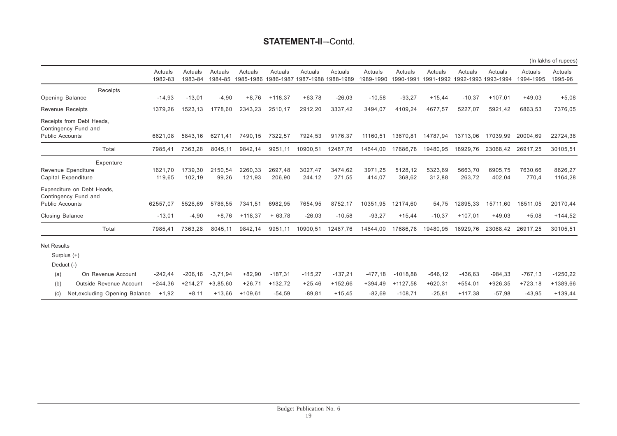#### **STATEMENT-II--Contd.**

(In lakhs of rupees)

|                        |                                                    | Actuals<br>1982-83 | Actuals<br>1983-84 | Actuals<br>1984-85 | Actuals<br>1985-1986 | Actuals<br>1986-1987 | Actuals<br>1987-1988 1988-1989 | Actuals   | Actuals<br>1989-1990 | Actuals<br>1990-1991 | Actuals<br>1991-1992 | Actuals   | Actuals<br>1992-1993 1993-1994 | Actuals<br>1994-1995 | Actuals<br>1995-96 |
|------------------------|----------------------------------------------------|--------------------|--------------------|--------------------|----------------------|----------------------|--------------------------------|-----------|----------------------|----------------------|----------------------|-----------|--------------------------------|----------------------|--------------------|
|                        | Receipts                                           |                    |                    |                    |                      |                      |                                |           |                      |                      |                      |           |                                |                      |                    |
| Opening Balance        |                                                    | $-14,93$           | $-13,01$           | $-4,90$            | $+8.76$              | $+118,37$            | $+63,78$                       | $-26,03$  | $-10,58$             | $-93,27$             | $+15,44$             | $-10,37$  | $+107,01$                      | $+49,03$             | $+5,08$            |
| Revenue Receipts       |                                                    | 1379,26            | 1523,13            | 1778.60            | 2343,23              | 2510,17              | 2912,20                        | 3337.42   | 3494,07              | 4109,24              | 4677,57              | 5227,07   | 5921,42                        | 6863,53              | 7376,05            |
|                        | Receipts from Debt Heads,<br>Contingency Fund and  |                    |                    |                    |                      |                      |                                |           |                      |                      |                      |           |                                |                      |                    |
| <b>Public Accounts</b> |                                                    | 6621,08            | 5843.16            | 6271.41            | 7490.15              | 7322,57              | 7924,53                        | 9176,37   | 11160.51             | 13670.81             | 14787.94             | 13713,06  | 17039.99                       | 20004.69             | 22724,38           |
|                        | Total                                              | 7985,41            | 7363,28            | 8045,11            | 9842.14              | 9951.11              | 10900.51                       | 12487,76  | 14644.00             | 17686.78             | 19480.95             | 18929.76  | 23068.42                       | 26917.25             | 30105,51           |
|                        | Expenture                                          |                    |                    |                    |                      |                      |                                |           |                      |                      |                      |           |                                |                      |                    |
|                        | Revenue Ependiture                                 | 1621.70            | 1739.30            | 2150.54            | 2260.33              | 2697,48              | 3027,47                        | 3474,62   | 3971,25              | 5128,12              | 5323,69              | 5663,70   | 6905,75                        | 7630,66              | 8626,27            |
|                        | Capital Expenditure                                | 119,65             | 102,19             | 99,26              | 121,93               | 206,90               | 244,12                         | 271,55    | 414,07               | 368,62               | 312,88               | 263,72    | 402,04                         | 770,4                | 1164,28            |
|                        | Expenditure on Debt Heads,<br>Contingency Fund and |                    |                    |                    |                      |                      |                                |           |                      |                      |                      |           |                                |                      |                    |
| <b>Public Accounts</b> |                                                    | 62557.07           | 5526,69            | 5786.55            | 7341.51              | 6982,95              | 7654,95                        | 8752,17   | 10351.95             | 12174.60             | 54,75                | 12895.33  | 15711.60                       | 18511,05             | 20170,44           |
| <b>Closing Balance</b> |                                                    | $-13,01$           | $-4,90$            | $+8.76$            | $+118,37$            | $+63,78$             | $-26,03$                       | $-10,58$  | $-93,27$             | $+15,44$             | $-10,37$             | $+107,01$ | $+49,03$                       | $+5,08$              | $+144,52$          |
|                        | Total                                              | 7985,41            | 7363,28            | 8045,11            | 9842,14              | 9951,11              | 10900,51                       | 12487,76  | 14644,00             | 17686,78             | 19480,95             | 18929,76  | 23068,42                       | 26917.25             | 30105,51           |
| <b>Net Results</b>     |                                                    |                    |                    |                    |                      |                      |                                |           |                      |                      |                      |           |                                |                      |                    |
|                        | Surplus $(+)$                                      |                    |                    |                    |                      |                      |                                |           |                      |                      |                      |           |                                |                      |                    |
| Deduct (-)             |                                                    |                    |                    |                    |                      |                      |                                |           |                      |                      |                      |           |                                |                      |                    |
| (a)                    | On Revenue Account                                 | $-242,44$          | $-206.16$          | $-3,71,94$         | $+82,90$             | $-187,31$            | $-115,27$                      | $-137,21$ | $-477.18$            | $-1018,88$           | $-646, 12$           | $-436,63$ | $-984.33$                      | $-767,13$            | $-1250,22$         |
| (b)                    | <b>Outside Revenue Account</b>                     | $+244,36$          | $+214,27$          | $+3.85.60$         | $+26,71$             | $+132,72$            | $+25,46$                       | $+152,66$ | $+394,49$            | $+1127,58$           | $+620,31$            | $+554,01$ | $+926,35$                      | $+723,18$            | +1389,66           |
| (c)                    | Net, excluding Opening Balance                     | $+1.92$            | $+8.11$            | $+13.66$           | $+109.61$            | $-54.59$             | $-89.81$                       | $+15.45$  | $-82.69$             | $-108.71$            | $-25.81$             | $+117.38$ | $-57.98$                       | $-43.95$             | $+139,44$          |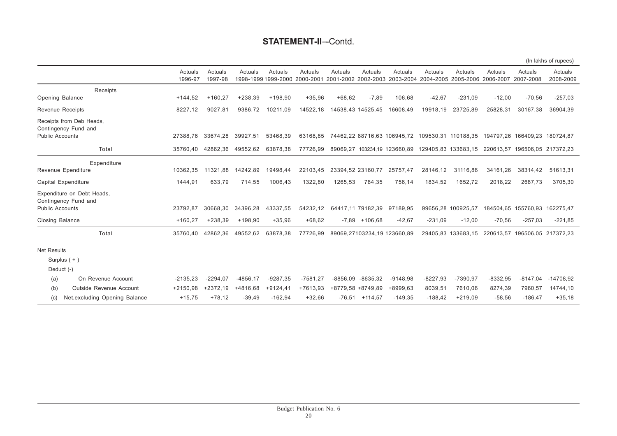#### STATEMENT-II-Contd.

(In lakhs of rupees)

|                                                                              | Actuals<br>1996-97 | Actuals<br>1997-98 | Actuals    | Actuals    | Actuals<br>1998-1999 1999-2000 2000-2001 | Actuals<br>2001-2002 2002-2003 | Actuals            | Actuals                                                                        | Actuals<br>2003-2004 2004-2005 | Actuals<br>2005-2006 | Actuals<br>2006-2007                             | Actuals<br>2007-2008          | Actuals<br>2008-2009 |
|------------------------------------------------------------------------------|--------------------|--------------------|------------|------------|------------------------------------------|--------------------------------|--------------------|--------------------------------------------------------------------------------|--------------------------------|----------------------|--------------------------------------------------|-------------------------------|----------------------|
| Receipts                                                                     |                    |                    |            |            |                                          |                                |                    |                                                                                |                                |                      |                                                  |                               |                      |
| Opening Balance                                                              | $+144,52$          | $+160,27$          | $+238,39$  | $+198,90$  | $+35,96$                                 | $+68,62$                       | $-7,89$            | 106,68                                                                         | $-42,67$                       | $-231,09$            | $-12,00$                                         | $-70,56$                      | $-257,03$            |
| Revenue Receipts                                                             | 8227,12            | 9027.81            | 9386.72    | 10211.09   | 14522,18                                 |                                | 14538,43 14525,45  | 16608,49                                                                       | 19918,19                       | 23725,89             | 25828,31                                         | 30167,38                      | 36904,39             |
| Receipts from Deb Heads,<br>Contingency Fund and<br><b>Public Accounts</b>   | 27388.76           | 33674,28           | 39927,51   | 53468,39   | 63168,85                                 |                                |                    | 74462,22 88716,63 106945,72 109530,31 110188,35                                |                                |                      |                                                  | 194797.26 166409.23 180724.87 |                      |
|                                                                              |                    |                    |            |            |                                          |                                |                    |                                                                                |                                |                      |                                                  |                               |                      |
| Total                                                                        | 35760,40           | 42862,36           | 49552,62   | 63878,38   | 77726,99                                 |                                |                    | 89069.27 103234.19 123660.89 129405.83 133683.15 220613.57 196506.05 217372.23 |                                |                      |                                                  |                               |                      |
| Expenditure<br>Revenue Ependiture                                            | 10362,35           | 11321,88           | 14242,89   | 19498,44   | 22103,45                                 |                                | 23394,52 23160,77  | 25757,47                                                                       | 28146,12                       | 31116,86             | 34161,26                                         | 38314,42                      | 51613,31             |
| Capital Expenditure                                                          | 1444,91            | 633,79             | 714,55     | 1006,43    | 1322,80                                  | 1265,53                        | 784,35             | 756,14                                                                         | 1834,52                        | 1652,72              | 2018,22                                          | 2687,73                       | 3705,30              |
| Expenditure on Debt Heads,<br>Contingency Fund and<br><b>Public Accounts</b> | 23792.87           | 30668.30           | 34396.28   | 43337,55   | 54232,12                                 |                                | 64417,11 79182,39  | 97189,95                                                                       |                                | 99656,28 100925,57   |                                                  | 184504,65 155760,93 162275,47 |                      |
|                                                                              |                    |                    |            |            |                                          |                                |                    |                                                                                |                                |                      |                                                  |                               |                      |
| <b>Closing Balance</b>                                                       | $+160,27$          | $+238.39$          | +198,90    | $+35,96$   | $+68,62$                                 | -7.89                          | +106,68            | $-42,67$                                                                       | $-231.09$                      | $-12,00$             | $-70,56$                                         | $-257,03$                     | $-221.85$            |
| Total                                                                        | 35760,40           | 42862,36           | 49552.62   | 63878,38   | 77726,99                                 |                                |                    | 89069,27103234,19 123660,89                                                    |                                |                      | 29405.83 133683.15 220613.57 196506.05 217372.23 |                               |                      |
| <b>Net Results</b>                                                           |                    |                    |            |            |                                          |                                |                    |                                                                                |                                |                      |                                                  |                               |                      |
| Surplus $(+)$                                                                |                    |                    |            |            |                                          |                                |                    |                                                                                |                                |                      |                                                  |                               |                      |
| Deduct (-)                                                                   |                    |                    |            |            |                                          |                                |                    |                                                                                |                                |                      |                                                  |                               |                      |
| On Revenue Account<br>(a)                                                    | $-2135,23$         | $-2294.07$         | $-4856.17$ | $-9287,35$ | $-7581,27$                               |                                | -8856.09 -8635.32  | $-9148.98$                                                                     | $-8227,93$                     | $-7390.97$           | $-8332,95$                                       | $-8147.04$                    | -14708,92            |
| <b>Outside Revenue Account</b><br>(b)                                        | $+2150.98$         | $+2372,19$         | +4816.68   | $+9124,41$ | $+7613,93$                               |                                | +8779.58 +8749.89  | +8999,63                                                                       | 8039,51                        | 7610,06              | 8274,39                                          | 7960,57                       | 14744,10             |
| Net, excluding Opening Balance<br>(c)                                        | $+15,75$           | $+78,12$           | $-39,49$   | $-162,94$  | $+32,66$                                 |                                | $-76,51$ $+114,57$ | $-149.35$                                                                      | $-188,42$                      | $+219,09$            | $-58,56$                                         | $-186,47$                     | $+35,18$             |